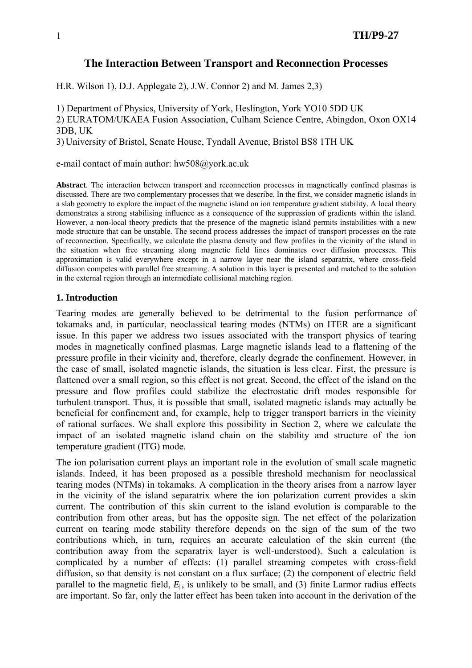# **The Interaction Between Transport and Reconnection Processes**

H.R. Wilson 1), D.J. Applegate 2), J.W. Connor 2) and M. James 2,3)

1) Department of Physics, University of York, Heslington, York YO10 5DD UK

2) EURATOM/UKAEA Fusion Association, Culham Science Centre, Abingdon, Oxon OX14 3DB, UK

3) University of Bristol, Senate House, Tyndall Avenue, Bristol BS8 1TH UK

e-mail contact of main author: hw508@york.ac.uk

**Abstract**. The interaction between transport and reconnection processes in magnetically confined plasmas is discussed. There are two complementary processes that we describe. In the first, we consider magnetic islands in a slab geometry to explore the impact of the magnetic island on ion temperature gradient stability. A local theory demonstrates a strong stabilising influence as a consequence of the suppression of gradients within the island. However, a non-local theory predicts that the presence of the magnetic island permits instabilities with a new mode structure that can be unstable. The second process addresses the impact of transport processes on the rate of reconnection. Specifically, we calculate the plasma density and flow profiles in the vicinity of the island in the situation when free streaming along magnetic field lines dominates over diffusion processes. This approximation is valid everywhere except in a narrow layer near the island separatrix, where cross-field diffusion competes with parallel free streaming. A solution in this layer is presented and matched to the solution in the external region through an intermediate collisional matching region.

### **1. Introduction**

Tearing modes are generally believed to be detrimental to the fusion performance of tokamaks and, in particular, neoclassical tearing modes (NTMs) on ITER are a significant issue. In this paper we address two issues associated with the transport physics of tearing modes in magnetically confined plasmas. Large magnetic islands lead to a flattening of the pressure profile in their vicinity and, therefore, clearly degrade the confinement. However, in the case of small, isolated magnetic islands, the situation is less clear. First, the pressure is flattened over a small region, so this effect is not great. Second, the effect of the island on the pressure and flow profiles could stabilize the electrostatic drift modes responsible for turbulent transport. Thus, it is possible that small, isolated magnetic islands may actually be beneficial for confinement and, for example, help to trigger transport barriers in the vicinity of rational surfaces. We shall explore this possibility in Section 2, where we calculate the impact of an isolated magnetic island chain on the stability and structure of the ion temperature gradient (ITG) mode.

The ion polarisation current plays an important role in the evolution of small scale magnetic islands. Indeed, it has been proposed as a possible threshold mechanism for neoclassical tearing modes (NTMs) in tokamaks. A complication in the theory arises from a narrow layer in the vicinity of the island separatrix where the ion polarization current provides a skin current. The contribution of this skin current to the island evolution is comparable to the contribution from other areas, but has the opposite sign. The net effect of the polarization current on tearing mode stability therefore depends on the sign of the sum of the two contributions which, in turn, requires an accurate calculation of the skin current (the contribution away from the separatrix layer is well-understood). Such a calculation is complicated by a number of effects: (1) parallel streaming competes with cross-field diffusion, so that density is not constant on a flux surface; (2) the component of electric field parallel to the magnetic field,  $E_{\parallel}$ , is unlikely to be small, and (3) finite Larmor radius effects are important. So far, only the latter effect has been taken into account in the derivation of the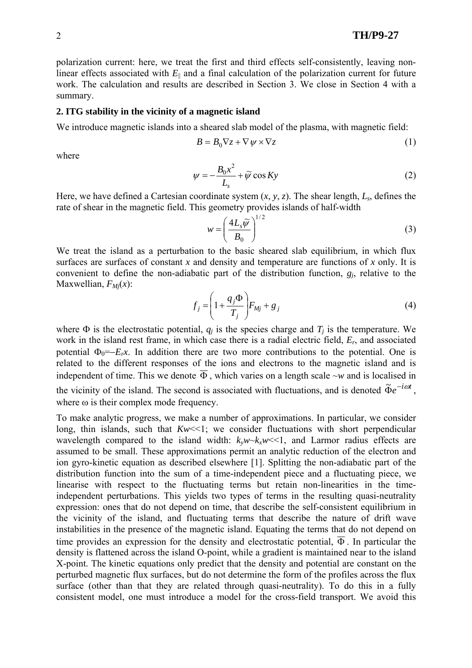polarization current: here, we treat the first and third effects self-consistently, leaving nonlinear effects associated with  $E_{\parallel}$  and a final calculation of the polarization current for future work. The calculation and results are described in Section 3. We close in Section 4 with a summary.

#### **2. ITG stability in the vicinity of a magnetic island**

We introduce magnetic islands into a sheared slab model of the plasma, with magnetic field:

$$
B = B_0 \nabla z + \nabla \psi \times \nabla z \tag{1}
$$

where

$$
\psi = -\frac{B_0 x^2}{L_s} + \widetilde{\psi} \cos Ky \tag{2}
$$

Here, we have defined a Cartesian coordinate system  $(x, y, z)$ . The shear length,  $L_s$ , defines the rate of shear in the magnetic field. This geometry provides islands of half-width

$$
w = \left(\frac{4L_s\widetilde{\psi}}{B_0}\right)^{1/2} \tag{3}
$$

We treat the island as a perturbation to the basic sheared slab equilibrium, in which flux surfaces are surfaces of constant *x* and density and temperature are functions of *x* only. It is convenient to define the non-adiabatic part of the distribution function, *gj*, relative to the Maxwellian,  $F_{Mi}(x)$ :

$$
f_j = \left(1 + \frac{q_j \Phi}{T_j}\right) F_{Mj} + g_j \tag{4}
$$

where  $\Phi$  is the electrostatic potential,  $q_i$  is the species charge and  $T_i$  is the temperature. We work in the island rest frame, in which case there is a radial electric field, *Er*, and associated potential  $\Phi_0 = -E_r x$ . In addition there are two more contributions to the potential. One is related to the different responses of the ions and electrons to the magnetic island and is independent of time. This we denote  $\overline{\Phi}$ , which varies on a length scale ~*w* and is localised in the vicinity of the island. The second is associated with fluctuations, and is denoted  $\tilde{\Phi}e^{-i\omega t}$ , where  $\omega$  is their complex mode frequency.

To make analytic progress, we make a number of approximations. In particular, we consider long, thin islands, such that  $Kw \leq 1$ ; we consider fluctuations with short perpendicular wavelength compared to the island width:  $k_y w \lt k_x w \lt 1$ , and Larmor radius effects are assumed to be small. These approximations permit an analytic reduction of the electron and ion gyro-kinetic equation as described elsewhere [1]. Splitting the non-adiabatic part of the distribution function into the sum of a time-independent piece and a fluctuating piece, we linearise with respect to the fluctuating terms but retain non-linearities in the timeindependent perturbations. This yields two types of terms in the resulting quasi-neutrality expression: ones that do not depend on time, that describe the self-consistent equilibrium in the vicinity of the island, and fluctuating terms that describe the nature of drift wave instabilities in the presence of the magnetic island. Equating the terms that do not depend on time provides an expression for the density and electrostatic potential,  $\overline{\Phi}$ . In particular the density is flattened across the island O-point, while a gradient is maintained near to the island X-point. The kinetic equations only predict that the density and potential are constant on the perturbed magnetic flux surfaces, but do not determine the form of the profiles across the flux surface (other than that they are related through quasi-neutrality). To do this in a fully consistent model, one must introduce a model for the cross-field transport. We avoid this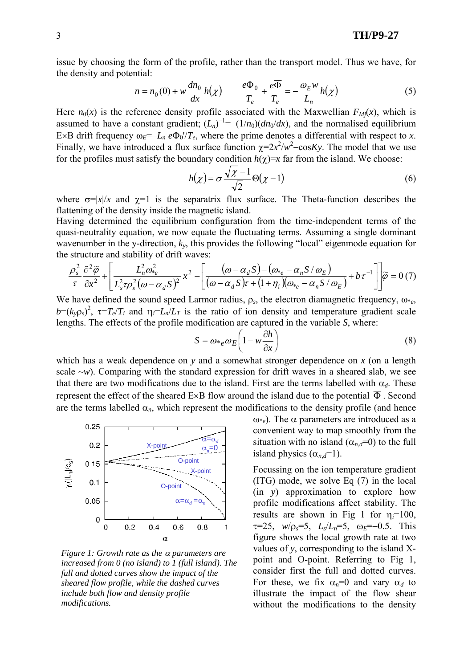issue by choosing the form of the profile, rather than the transport model. Thus we have, for the density and potential:

$$
n = n_0(0) + w \frac{dn_0}{dx} h(\chi) \qquad \frac{e\Phi_0}{T_e} + \frac{e\overline{\Phi}}{T_e} = -\frac{\omega_E w}{L_n} h(\chi)
$$
 (5)

Here  $n_0(x)$  is the reference density profile associated with the Maxwellian  $F_{Mj}(x)$ , which is assumed to have a constant gradient;  $(L_n)^{-1} = -(1/n_0)(dn_0/dx)$ , and the normalised equilibrium E×B drift frequency  $\omega_F = -L_n e \Phi_0 / T_e$ , where the prime denotes a differential with respect to *x*. Finally, we have introduced a flux surface function  $\chi = 2x^2/w^2 - \cos Ky$ . The model that we use for the profiles must satisfy the boundary condition  $h(\gamma)=x$  far from the island. We choose:

$$
h(\chi) = \sigma \frac{\sqrt{\chi - 1}}{\sqrt{2}} \Theta(\chi - 1)
$$
 (6)

where  $\sigma=|x|/x$  and  $\gamma=1$  is the separatrix flux surface. The Theta-function describes the flattening of the density inside the magnetic island.

Having determined the equilibrium configuration from the time-independent terms of the quasi-neutrality equation, we now equate the fluctuating terms. Assuming a single dominant wavenumber in the y-direction, *ky*, this provides the following "local" eigenmode equation for the structure and stability of drift waves:

$$
\frac{\rho_s^2}{\tau} \frac{\partial^2 \widetilde{\varphi}}{\partial x^2} + \left[ \frac{L_n^2 \omega_{*e}^2}{L_s^2 \tau \rho_s^2 (\omega - \alpha_d S)^2} x^2 - \left[ \frac{(\omega - \alpha_d S) - (\omega_{*e} - \alpha_n S / \omega_E)}{(\omega - \alpha_d S) \tau + (1 + \eta_i)(\omega_{*e} - \alpha_n S / \omega_E)} + b \tau^{-1} \right] \widetilde{\varphi} = 0 \tag{7}
$$

We have defined the sound speed Larmor radius, ρ*s*, the electron diamagnetic frequency, ω\**e*,  $b=(k_y \rho_s)^2$ ,  $\tau = T_e/T_i$  and  $\eta_i = L_n/L_T$  is the ratio of ion density and temperature gradient scale lengths. The effects of the profile modification are captured in the variable *S*, where:

$$
S = \omega_{*e} \omega_E \left( 1 - w \frac{\partial h}{\partial x} \right) \tag{8}
$$

which has a weak dependence on *y* and a somewhat stronger dependence on *x* (on a length scale  $-w$ ). Comparing with the standard expression for drift waves in a sheared slab, we see that there are two modifications due to the island. First are the terms labelled with  $\alpha_d$ . These represent the effect of the sheared E×B flow around the island due to the potential  $\overline{\Phi}$ . Second are the terms labelled  $\alpha_n$ , which represent the modifications to the density profile (and hence



*Figure 1: Growth rate as the* α *parameters are increased from 0 (no island) to 1 (full island). The full and dotted curves show the impact of the sheared flow profile, while the dashed curves include both flow and density profile modifications.* 

 $ω_{e}$ ). The  $α$  parameters are introduced as a convenient way to map smoothly from the situation with no island  $(\alpha_n \bar{d} = 0)$  to the full island physics  $(\alpha_{n,d}=1)$ .

Focussing on the ion temperature gradient (ITG) mode, we solve Eq (7) in the local (in *y*) approximation to explore how profile modifications affect stability. The results are shown in Fig 1 for  $\eta_i=100$ ,  $\tau$ =25, *w*/ $\rho_s$ =5, *L<sub>s</sub>*/*L<sub>n</sub>*=5,  $\omega_F$ =-0.5. This figure shows the local growth rate at two values of *y*, corresponding to the island Xpoint and O-point. Referring to Fig 1, consider first the full and dotted curves. For these, we fix  $\alpha_n=0$  and vary  $\alpha_d$  to illustrate the impact of the flow shear without the modifications to the density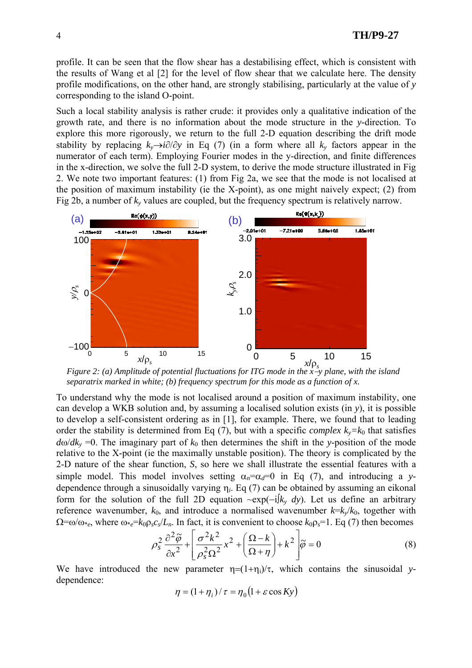4 **TH/P9-27** 

profile. It can be seen that the flow shear has a destabilising effect, which is consistent with the results of Wang et al [2] for the level of flow shear that we calculate here. The density profile modifications, on the other hand, are strongly stabilising, particularly at the value of *y* corresponding to the island O-point.

Such a local stability analysis is rather crude: it provides only a qualitative indication of the growth rate, and there is no information about the mode structure in the *y*-direction. To explore this more rigorously, we return to the full 2-D equation describing the drift mode stability by replacing  $k_y \rightarrow i\partial/\partial y$  in Eq (7) (in a form where all  $k_y$  factors appear in the numerator of each term). Employing Fourier modes in the y-direction, and finite differences in the x-direction, we solve the full 2-D system, to derive the mode structure illustrated in Fig 2. We note two important features: (1) from Fig 2a, we see that the mode is not localised at the position of maximum instability (ie the X-point), as one might naively expect; (2) from Fig 2b, a number of  $k_y$  values are coupled, but the frequency spectrum is relatively narrow.



*Figure 2: (a) Amplitude of potential fluctuations for ITG mode in the x*−*y plane, with the island separatrix marked in white; (b) frequency spectrum for this mode as a function of x.* 

To understand why the mode is not localised around a position of maximum instability, one can develop a WKB solution and, by assuming a localised solution exists (in *y*), it is possible to develop a self-consistent ordering as in [1], for example. There, we found that to leading order the stability is determined from Eq (7), but with a specific *complex*  $k_y = k_0$  that satisfies  $d\omega/dk_y = 0$ . The imaginary part of  $k_0$  then determines the shift in the *y*-position of the mode relative to the X-point (ie the maximally unstable position). The theory is complicated by the 2-D nature of the shear function, *S*, so here we shall illustrate the essential features with a simple model. This model involves setting  $\alpha_n = \alpha_d = 0$  in Eq (7), and introducing a *y*dependence through a sinusoidally varying η*i*. Eq (7) can be obtained by assuming an eikonal form for the solution of the full 2D equation ~exp(−i∫*ky dy*). Let us define an arbitrary reference wavenumber,  $k_0$ , and introduce a normalised wavenumber  $k=k_v/k_0$ , together with  $\Omega = \omega/\omega_{\epsilon}$ , where  $\omega_{\epsilon} = k_0 \rho_s c_s/L_n$ . In fact, it is convenient to choose  $k_0 \rho_s = 1$ . Eq (7) then becomes

$$
\rho_s^2 \frac{\partial^2 \tilde{\varphi}}{\partial x^2} + \left[ \frac{\sigma^2 k^2}{\rho_s^2 \Omega^2} x^2 + \left( \frac{\Omega - k}{\Omega + \eta} \right) + k^2 \right] \tilde{\varphi} = 0
$$
\n(8)

We have introduced the new parameter  $\eta = (1+\eta_i)/\tau$ , which contains the sinusoidal *y*dependence:

$$
\eta = (1 + \eta_i) / \tau = \eta_0 (1 + \varepsilon \cos K y)
$$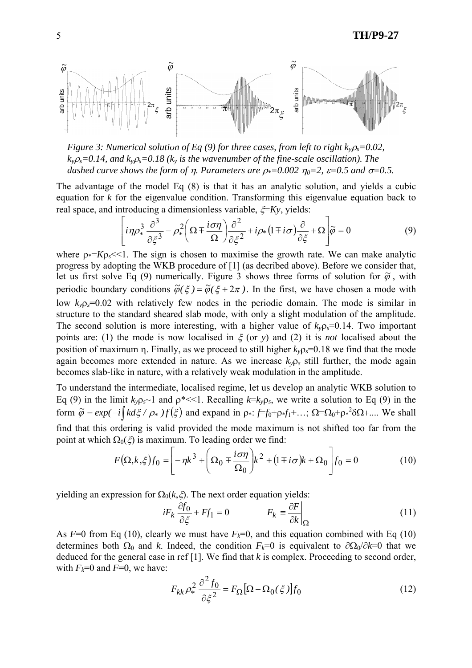

*Figure 3: Numerical solution of Eq (9) for three cases, from left to right*  $k_{y} \rho_{s} = 0.02$ *,*  $k_{y}$  $\rho_{s}$ =0.14, and  $k_{y}$  $\rho_{s}$ =0.18 ( $k_{y}$  is the wavenumber of the fine-scale oscillation). The *dashed curve shows the form of n. Parameters are*  $\rho_{*}=0.002$  $\eta_{0}=2$ *,*  $\varepsilon=0.5$  *and*  $\sigma=0.5$ *.* 

The advantage of the model Eq (8) is that it has an analytic solution, and yields a cubic equation for *k* for the eigenvalue condition. Transforming this eigenvalue equation back to real space, and introducing a dimensionless variable, ξ=*Ky*, yields:

$$
\left[i\eta\rho_*^3 \frac{\partial^3}{\partial \xi^3} - \rho_*^2 \left(\Omega \mp \frac{i\sigma\eta}{\Omega}\right) \frac{\partial^2}{\partial \xi^2} + i\rho_* \left(1 \mp i\sigma\right) \frac{\partial}{\partial \xi} + \Omega\right]\tilde{\rho} = 0\tag{9}
$$

where  $\rho$ <sup> $\leq$ </sup> $K\rho$ <sup> $\leq$ </sup> $\leq$ 1. The sign is chosen to maximise the growth rate. We can make analytic progress by adopting the WKB procedure of [1] (as decribed above). Before we consider that, let us first solve Eq (9) numerically. Figure 3 shows three forms of solution for  $\tilde{\varphi}$ , with periodic boundary conditions  $\tilde{\varphi}(\xi) = \tilde{\varphi}(\xi + 2\pi)$ . In the first, we have chosen a mode with low  $k_v \rho_s = 0.02$  with relatively few nodes in the periodic domain. The mode is similar in structure to the standard sheared slab mode, with only a slight modulation of the amplitude. The second solution is more interesting, with a higher value of  $k_v \rho_s = 0.14$ . Two important points are: (1) the mode is now localised in ξ (or *y*) and (2) it is *not* localised about the position of maximum η. Finally, as we proceed to still higher  $k_{y}p_{s}=0.18$  we find that the mode again becomes more extended in nature. As we increase  $k_v \rho_s$  still further, the mode again becomes slab-like in nature, with a relatively weak modulation in the amplitude.

To understand the intermediate, localised regime, let us develop an analytic WKB solution to Eq (9) in the limit  $k_y \rho_s$  1 and  $\rho^* \ll 1$ . Recalling  $k = k_y \rho_s$ , we write a solution to Eq (9) in the form  $\tilde{\varphi} = exp(-i \int k d\xi / \rho_* f(\xi)$  and expand in  $\rho_* f = f_0 + \rho_* f_1 + ...; \Omega = \Omega_0 + \rho_*^2 \delta \Omega + ...$  We shall find that this ordering is valid provided the mode maximum is not shifted too far from the point at which  $\Omega_0(\xi)$  is maximum. To leading order we find:

$$
F(\Omega, k, \xi) f_0 = \left[ -\eta k^3 + \left( \Omega_0 + \frac{i\sigma\eta}{\Omega_0} \right) k^2 + (1 + i\sigma) k + \Omega_0 \right] f_0 = 0 \tag{10}
$$

yielding an expression for  $\Omega_0(k,\xi)$ . The next order equation yields:

$$
iF_k \frac{\partial f_0}{\partial \xi} + F f_1 = 0 \qquad \qquad F_k = \frac{\partial F}{\partial k} \bigg|_{\Omega} \tag{11}
$$

As  $F=0$  from Eq (10), clearly we must have  $F_k=0$ , and this equation combined with Eq (10) determines both  $\Omega_0$  and *k*. Indeed, the condition  $F_k=0$  is equivalent to  $\partial \Omega_0/\partial k=0$  that we deduced for the general case in ref [1]. We find that *k* is complex. Proceeding to second order, with  $F_k=0$  and  $F=0$ , we have:

$$
F_{kk} \rho_*^2 \frac{\partial^2 f_0}{\partial \xi^2} = F_{\Omega} [\Omega - \Omega_0(\xi)] f_0 \tag{12}
$$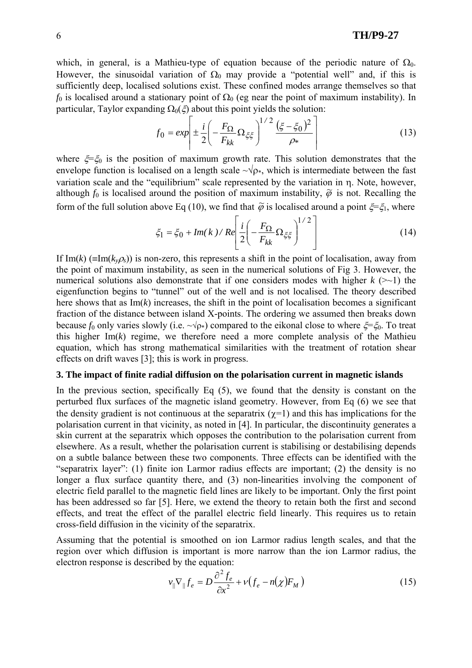which, in general, is a Mathieu-type of equation because of the periodic nature of  $\Omega_0$ . However, the sinusoidal variation of  $\Omega_0$  may provide a "potential well" and, if this is sufficiently deep, localised solutions exist. These confined modes arrange themselves so that *f*<sub>0</sub> is localised around a stationary point of  $\Omega_0$  (eg near the point of maximum instability). In particular, Taylor expanding  $\Omega_0(\xi)$  about this point yields the solution:

$$
f_0 = exp\left| \pm \frac{i}{2} \left( -\frac{F_{\Omega}}{F_{kk}} \Omega_{\xi \xi} \right)^{1/2} \frac{(\xi - \xi_0)^2}{\rho_*} \right| \tag{13}
$$

where  $\xi = \xi_0$  is the position of maximum growth rate. This solution demonstrates that the envelope function is localised on a length scale  $\sim\sqrt{\rho_*}$ , which is intermediate between the fast variation scale and the "equilibrium" scale represented by the variation in η. Note, however, although  $f_0$  is localised around the position of maximum instability,  $\tilde{\varphi}$  is not. Recalling the form of the full solution above Eq (10), we find that  $\tilde{\varphi}$  is localised around a point  $\xi = \xi_1$ , where

$$
\xi_1 = \xi_0 + Im(k) / Re \left[ \frac{i}{2} \left( -\frac{F_{\Omega}}{F_{kk}} \Omega_{\xi \xi} \right)^{1/2} \right]
$$
 (14)

If Im(*k*) ( $\equiv$ Im( $k_y \rho_s$ )) is non-zero, this represents a shift in the point of localisation, away from the point of maximum instability, as seen in the numerical solutions of Fig 3. However, the numerical solutions also demonstrate that if one considers modes with higher  $k$  ( $\geq$ -1) the eigenfunction begins to "tunnel" out of the well and is not localised. The theory described here shows that as  $Im(k)$  increases, the shift in the point of localisation becomes a significant fraction of the distance between island X-points. The ordering we assumed then breaks down because *f*<sub>0</sub> only varies slowly (i.e.  $\sim\sqrt{p*}$ ) compared to the eikonal close to where  $\xi = \xi_0$ . To treat this higher  $Im(k)$  regime, we therefore need a more complete analysis of the Mathieu equation, which has strong mathematical similarities with the treatment of rotation shear effects on drift waves [3]; this is work in progress.

#### **3. The impact of finite radial diffusion on the polarisation current in magnetic islands**

In the previous section, specifically Eq  $(5)$ , we found that the density is constant on the perturbed flux surfaces of the magnetic island geometry. However, from Eq (6) we see that the density gradient is not continuous at the separatrix  $(\gamma=1)$  and this has implications for the polarisation current in that vicinity, as noted in [4]. In particular, the discontinuity generates a skin current at the separatrix which opposes the contribution to the polarisation current from elsewhere. As a result, whether the polarisation current is stabilising or destabilising depends on a subtle balance between these two components. Three effects can be identified with the "separatrix layer": (1) finite ion Larmor radius effects are important; (2) the density is no longer a flux surface quantity there, and (3) non-linearities involving the component of electric field parallel to the magnetic field lines are likely to be important. Only the first point has been addressed so far [5]. Here, we extend the theory to retain both the first and second effects, and treat the effect of the parallel electric field linearly. This requires us to retain cross-field diffusion in the vicinity of the separatrix.

Assuming that the potential is smoothed on ion Larmor radius length scales, and that the region over which diffusion is important is more narrow than the ion Larmor radius, the electron response is described by the equation:

$$
v_{\parallel} \nabla_{\parallel} f_e = D \frac{\partial^2 f_e}{\partial x^2} + v \big( f_e - n(\chi) F_M \big)
$$
 (15)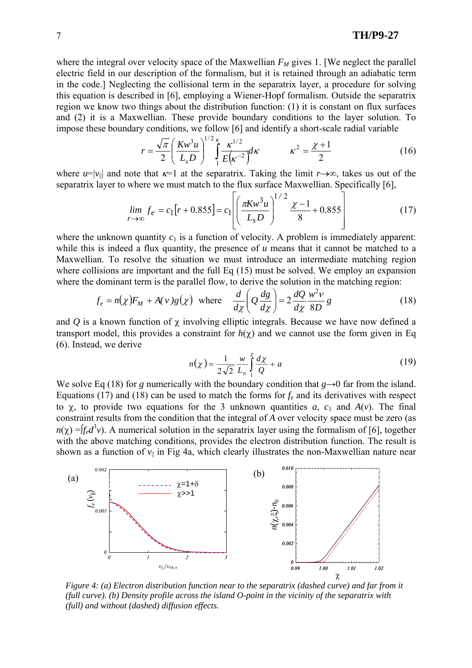## 7 **TH/P9-27**

where the integral over velocity space of the Maxwellian  $F_M$  gives 1. [We neglect the parallel electric field in our description of the formalism, but it is retained through an adiabatic term in the code.] Neglecting the collisional term in the separatrix layer, a procedure for solving this equation is described in [6], employing a Wiener-Hopf formalism. Outside the separatrix region we know two things about the distribution function: (1) it is constant on flux surfaces and (2) it is a Maxwellian. These provide boundary conditions to the layer solution. To impose these boundary conditions, we follow [6] and identify a short-scale radial variable

$$
r = \frac{\sqrt{\pi}}{2} \left( \frac{K w^3 u}{L_s D} \right)^{1/2} \int_{1}^{K} \frac{\kappa^{1/2}}{E(\kappa^{-2})} d\kappa \qquad \kappa^2 = \frac{\chi + 1}{2} \tag{16}
$$

where  $u=|v_{\parallel}|$  and note that  $\kappa=1$  at the separatrix. Taking the limit  $r\rightarrow\infty$ , takes us out of the separatrix layer to where we must match to the flux surface Maxwellian. Specifically [6],

$$
\lim_{r \to \infty} f_e = c_1 [r + 0.855] = c_1 \left[ \left( \frac{\pi K w^3 u}{L_s D} \right)^{1/2} \frac{\chi - 1}{8} + 0.855 \right]
$$
(17)

where the unknown quantity  $c_1$  is a function of velocity. A problem is immediately apparent: while this is indeed a flux quantity, the presence of *u* means that it cannot be matched to a Maxwellian. To resolve the situation we must introduce an intermediate matching region where collisions are important and the full Eq (15) must be solved. We employ an expansion where the dominant term is the parallel flow, to derive the solution in the matching region:

$$
f_e = n(\chi)F_M + A(v)g(\chi) \text{ where } \frac{d}{d\chi} \left(Q\frac{dg}{d\chi}\right) = 2\frac{dQ}{d\chi}\frac{w^2v}{8D}g
$$
 (18)

and  $Q$  is a known function of  $\chi$  involving elliptic integrals. Because we have now defined a transport model, this provides a constraint for  $h(\chi)$  and we cannot use the form given in Eq (6). Instead, we derive

$$
n(\chi) = \frac{1}{2\sqrt{2}} \frac{w}{L_n} \int_{1}^{\chi} \frac{d\chi}{Q} + a \tag{19}
$$

We solve Eq (18) for *g* numerically with the boundary condition that  $g \rightarrow 0$  far from the island. Equations (17) and (18) can be used to match the forms for  $f_e$  and its derivatives with respect to  $\chi$ , to provide two equations for the 3 unknown quantities *a*,  $c_1$  and  $A(v)$ . The final constraint results from the condition that the integral of *A* over velocity space must be zero (as  $n(\chi) = [f_e d^3 v]$ . A numerical solution in the separatrix layer using the formalism of [6], together with the above matching conditions, provides the electron distribution function. The result is shown as a function of  $v_{\parallel}$  in Fig 4a, which clearly illustrates the non-Maxwellian nature near



*Figure 4: (a) Electron distribution function near to the separatrix (dashed curve) and far from it (full curve). (b) Density profile across the island O-point in the vicinity of the separatrix with (full) and without (dashed) diffusion effects.*